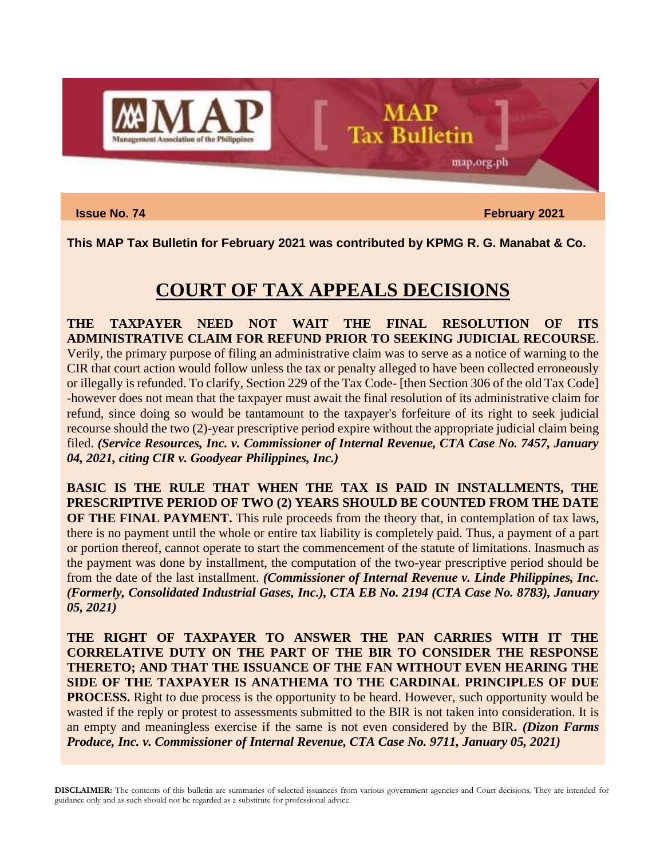

**Issue No. 74 February** 2021

map.org.ph

**This MAP Tax Bulletin for February 2021 was contributed by KPMG R. G. Manabat & Co.**

**MAP** 

**Tax Bulletin** 

## **COURT OF TAX APPEALS DECISIONS**

**THE TAXPAYER NEED NOT WAIT THE FINAL RESOLUTION OF ITS ADMINISTRATIVE CLAIM FOR REFUND PRIOR TO SEEKING JUDICIAL RECOURSE**. Verily, the primary purpose of filing an administrative claim was to serve as a notice of warning to the CIR that court action would follow unless the tax or penalty alleged to have been collected erroneously or illegally is refunded. To clarify, Section 229 of the Tax Code- [then Section 306 of the old Tax Code] -however does not mean that the taxpayer must await the final resolution of its administrative claim for refund, since doing so would be tantamount to the taxpayer's forfeiture of its right to seek judicial recourse should the two (2)-year prescriptive period expire without the appropriate judicial claim being filed. *(Service Resources, Inc. v. Commissioner of Internal Revenue, CTA Case No. 7457, January 04, 2021, citing CIR v. Goodyear Philippines, Inc.)*

**BASIC IS THE RULE THAT WHEN THE TAX IS PAID IN INSTALLMENTS, THE PRESCRIPTIVE PERIOD OF TWO (2) YEARS SHOULD BE COUNTED FROM THE DATE OF THE FINAL PAYMENT.** This rule proceeds from the theory that, in contemplation of tax laws, there is no payment until the whole or entire tax liability is completely paid. Thus, a payment of a part or portion thereof, cannot operate to start the commencement of the statute of limitations. Inasmuch as the payment was done by installment, the computation of the two-year prescriptive period should be from the date of the last installment. *(Commissioner of Internal Revenue v. Linde Philippines, Inc. (Formerly, Consolidated Industrial Gases, Inc.), CTA EB No. 2194 (CTA Case No. 8783), January 05, 2021)*

**THE RIGHT OF TAXPAYER TO ANSWER THE PAN CARRIES WITH IT THE CORRELATIVE DUTY ON THE PART OF THE BIR TO CONSIDER THE RESPONSE THERETO; AND THAT THE ISSUANCE OF THE FAN WITHOUT EVEN HEARING THE SIDE OF THE TAXPAYER IS ANATHEMA TO THE CARDINAL PRINCIPLES OF DUE PROCESS.** Right to due process is the opportunity to be heard. However, such opportunity would be wasted if the reply or protest to assessments submitted to the BIR is not taken into consideration. It is an empty and meaningless exercise if the same is not even considered by the BIR*. (Dizon Farms Produce, Inc. v. Commissioner of Internal Revenue, CTA Case No. 9711, January 05, 2021)*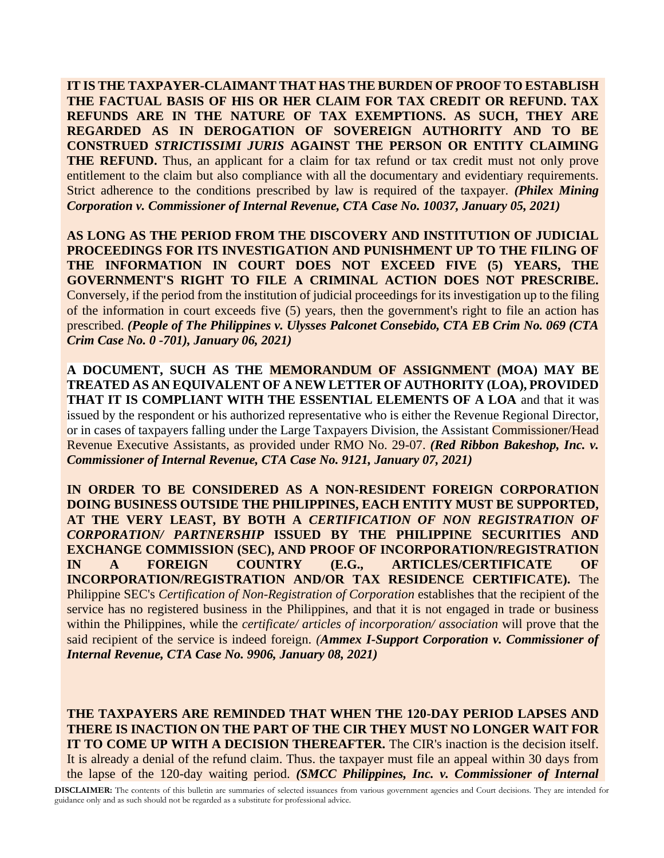**IT IS THE TAXPAYER-CLAIMANT THAT HAS THE BURDEN OF PROOF TO ESTABLISH THE FACTUAL BASIS OF HIS OR HER CLAIM FOR TAX CREDIT OR REFUND. TAX REFUNDS ARE IN THE NATURE OF TAX EXEMPTIONS. AS SUCH, THEY ARE REGARDED AS IN DEROGATION OF SOVEREIGN AUTHORITY AND TO BE CONSTRUED** *STRICTISSIMI JURIS* **AGAINST THE PERSON OR ENTITY CLAIMING THE REFUND.** Thus, an applicant for a claim for tax refund or tax credit must not only prove entitlement to the claim but also compliance with all the documentary and evidentiary requirements. Strict adherence to the conditions prescribed by law is required of the taxpayer. *(Philex Mining Corporation v. Commissioner of Internal Revenue, CTA Case No. 10037, January 05, 2021)*

**AS LONG AS THE PERIOD FROM THE DISCOVERY AND INSTITUTION OF JUDICIAL PROCEEDINGS FOR ITS INVESTIGATION AND PUNISHMENT UP TO THE FILING OF THE INFORMATION IN COURT DOES NOT EXCEED FIVE (5) YEARS, THE GOVERNMENT'S RIGHT TO FILE A CRIMINAL ACTION DOES NOT PRESCRIBE.** Conversely, if the period from the institution of judicial proceedings for its investigation up to the filing of the information in court exceeds five (5) years, then the government's right to file an action has prescribed. *(People of The Philippines v. Ulysses Palconet Consebido, CTA EB Crim No. 069 (CTA Crim Case No. 0 -701), January 06, 2021)*

**A DOCUMENT, SUCH AS THE MEMORANDUM OF ASSIGNMENT (MOA) MAY BE TREATED AS AN EQUIVALENT OF A NEW LETTER OF AUTHORITY (LOA), PROVIDED THAT IT IS COMPLIANT WITH THE ESSENTIAL ELEMENTS OF A LOA** and that it was issued by the respondent or his authorized representative who is either the Revenue Regional Director, or in cases of taxpayers falling under the Large Taxpayers Division, the Assistant Commissioner/Head Revenue Executive Assistants, as provided under RMO No. 29-07. *(Red Ribbon Bakeshop, Inc. v. Commissioner of Internal Revenue, CTA Case No. 9121, January 07, 2021)*

**IN ORDER TO BE CONSIDERED AS A NON-RESIDENT FOREIGN CORPORATION DOING BUSINESS OUTSIDE THE PHILIPPINES, EACH ENTITY MUST BE SUPPORTED, AT THE VERY LEAST, BY BOTH A** *CERTIFICATION OF NON REGISTRATION OF CORPORATION/ PARTNERSHIP* **ISSUED BY THE PHILIPPINE SECURITIES AND EXCHANGE COMMISSION (SEC), AND PROOF OF INCORPORATION/REGISTRATION IN A FOREIGN COUNTRY (E.G., ARTICLES/CERTIFICATE OF INCORPORATION/REGISTRATION AND/OR TAX RESIDENCE CERTIFICATE).** The Philippine SEC's *Certification of Non-Registration of Corporation* establishes that the recipient of the service has no registered business in the Philippines, and that it is not engaged in trade or business within the Philippines, while the *certificate/ articles of incorporation/ association* will prove that the said recipient of the service is indeed foreign. *(Ammex I-Support Corporation v. Commissioner of Internal Revenue, CTA Case No. 9906, January 08, 2021)*

**THE TAXPAYERS ARE REMINDED THAT WHEN THE 120-DAY PERIOD LAPSES AND THERE IS INACTION ON THE PART OF THE CIR THEY MUST NO LONGER WAIT FOR IT TO COME UP WITH A DECISION THEREAFTER.** The CIR's inaction is the decision itself. It is already a denial of the refund claim. Thus. the taxpayer must file an appeal within 30 days from the lapse of the 120-day waiting period. *(SMCC Philippines, Inc. v. Commissioner of Internal*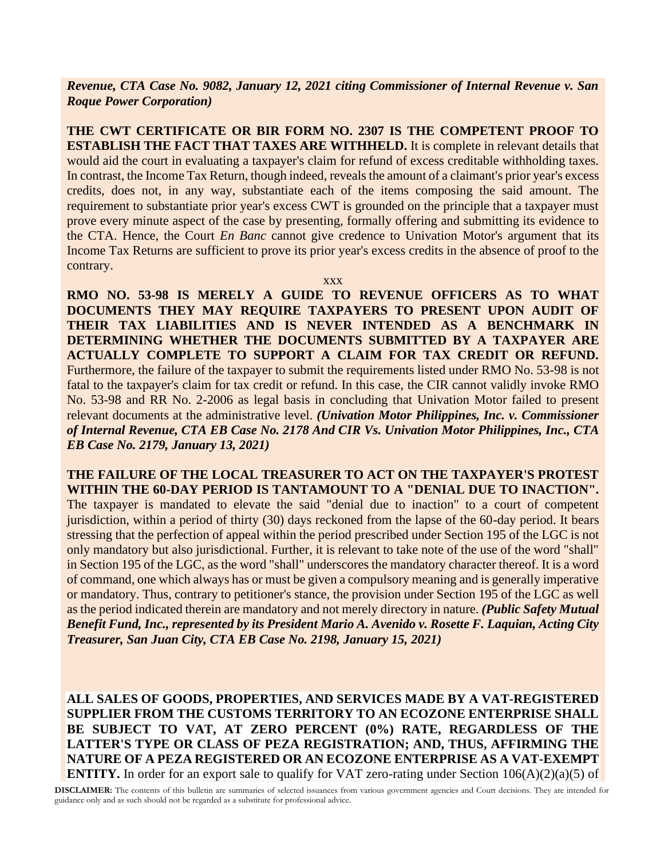*Revenue, CTA Case No. 9082, January 12, 2021 citing Commissioner of Internal Revenue v. San Roque Power Corporation)*

**THE CWT CERTIFICATE OR BIR FORM NO. 2307 IS THE COMPETENT PROOF TO ESTABLISH THE FACT THAT TAXES ARE WITHHELD.** It is complete in relevant details that would aid the court in evaluating a taxpayer's claim for refund of excess creditable withholding taxes. In contrast, the Income Tax Return, though indeed, reveals the amount of a claimant's prior year's excess credits, does not, in any way, substantiate each of the items composing the said amount. The requirement to substantiate prior year's excess CWT is grounded on the principle that a taxpayer must prove every minute aspect of the case by presenting, formally offering and submitting its evidence to the CTA. Hence, the Court *En Banc* cannot give credence to Univation Motor's argument that its Income Tax Returns are sufficient to prove its prior year's excess credits in the absence of proof to the contrary.

xxx

**RMO NO. 53-98 IS MERELY A GUIDE TO REVENUE OFFICERS AS TO WHAT DOCUMENTS THEY MAY REQUIRE TAXPAYERS TO PRESENT UPON AUDIT OF THEIR TAX LIABILITIES AND IS NEVER INTENDED AS A BENCHMARK IN DETERMINING WHETHER THE DOCUMENTS SUBMITTED BY A TAXPAYER ARE ACTUALLY COMPLETE TO SUPPORT A CLAIM FOR TAX CREDIT OR REFUND.** Furthermore, the failure of the taxpayer to submit the requirements listed under RMO No. 53-98 is not fatal to the taxpayer's claim for tax credit or refund. In this case, the CIR cannot validly invoke RMO No. 53-98 and RR No. 2-2006 as legal basis in concluding that Univation Motor failed to present relevant documents at the administrative level. *(Univation Motor Philippines, Inc. v. Commissioner of Internal Revenue, CTA EB Case No. 2178 And CIR Vs. Univation Motor Philippines, Inc., CTA EB Case No. 2179, January 13, 2021)*

**THE FAILURE OF THE LOCAL TREASURER TO ACT ON THE TAXPAYER'S PROTEST WITHIN THE 60-DAY PERIOD IS TANTAMOUNT TO A "DENIAL DUE TO INACTION".** The taxpayer is mandated to elevate the said "denial due to inaction" to a court of competent jurisdiction, within a period of thirty (30) days reckoned from the lapse of the 60-day period. It bears stressing that the perfection of appeal within the period prescribed under Section 195 of the LGC is not only mandatory but also jurisdictional. Further, it is relevant to take note of the use of the word "shall" in Section 195 of the LGC, as the word "shall" underscores the mandatory character thereof. It is a word of command, one which always has or must be given a compulsory meaning and is generally imperative or mandatory. Thus, contrary to petitioner's stance, the provision under Section 195 of the LGC as well as the period indicated therein are mandatory and not merely directory in nature. *(Public Safety Mutual Benefit Fund, Inc., represented by its President Mario A. Avenido v. Rosette F. Laquian, Acting City Treasurer, San Juan City, CTA EB Case No. 2198, January 15, 2021)*

**ALL SALES OF GOODS, PROPERTIES, AND SERVICES MADE BY A VAT-REGISTERED SUPPLIER FROM THE CUSTOMS TERRITORY TO AN ECOZONE ENTERPRISE SHALL BE SUBJECT TO VAT, AT ZERO PERCENT (0%) RATE, REGARDLESS OF THE LATTER'S TYPE OR CLASS OF PEZA REGISTRATION; AND, THUS, AFFIRMING THE NATURE OF A PEZA REGISTERED OR AN ECOZONE ENTERPRISE AS A VAT-EXEMPT ENTITY.** In order for an export sale to qualify for VAT zero-rating under Section 106(A)(2)(a)(5) of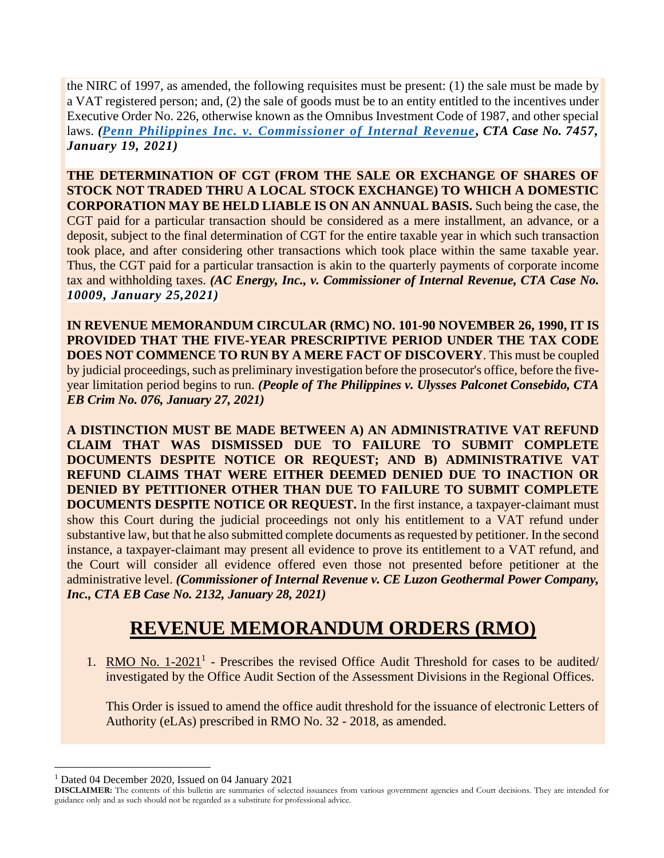the NIRC of 1997, as amended, the following requisites must be present: (1) the sale must be made by a VAT registered person; and, (2) the sale of goods must be to an entity entitled to the incentives under Executive Order No. 226, otherwise known as the Omnibus Investment Code of 1987, and other special laws. *[\(Penn Philippines Inc. v. Commissioner of Internal Revenue](http://cta.judiciary.gov.ph/pdfv/web/viewer.html?file=http://cta.judiciary.gov.ph/home/download/55c4aae246cd4a4861c948bbb57d5893), CTA Case No. 7457, January 19, 2021)*

**THE DETERMINATION OF CGT (FROM THE SALE OR EXCHANGE OF SHARES OF STOCK NOT TRADED THRU A LOCAL STOCK EXCHANGE) TO WHICH A DOMESTIC CORPORATION MAY BE HELD LIABLE IS ON AN ANNUAL BASIS.** Such being the case, the CGT paid for a particular transaction should be considered as a mere installment, an advance, or a deposit, subject to the final determination of CGT for the entire taxable year in which such transaction took place, and after considering other transactions which took place within the same taxable year. Thus, the CGT paid for a particular transaction is akin to the quarterly payments of corporate income tax and withholding taxes. *(AC Energy, Inc., v. Commissioner of Internal Revenue, CTA Case No. 10009, January 25,2021)*

**IN REVENUE MEMORANDUM CIRCULAR (RMC) NO. 101-90 NOVEMBER 26, 1990, IT IS PROVIDED THAT THE FIVE-YEAR PRESCRIPTIVE PERIOD UNDER THE TAX CODE DOES NOT COMMENCE TO RUN BY A MERE FACT OF DISCOVERY**. This must be coupled by judicial proceedings, such as preliminary investigation before the prosecutor's office, before the fiveyear limitation period begins to run. *(People of The Philippines v. Ulysses Palconet Consebido, CTA EB Crim No. 076, January 27, 2021)*

**A DISTINCTION MUST BE MADE BETWEEN A) AN ADMINISTRATIVE VAT REFUND CLAIM THAT WAS DISMISSED DUE TO FAILURE TO SUBMIT COMPLETE DOCUMENTS DESPITE NOTICE OR REQUEST; AND B) ADMINISTRATIVE VAT REFUND CLAIMS THAT WERE EITHER DEEMED DENIED DUE TO INACTION OR DENIED BY PETITIONER OTHER THAN DUE TO FAILURE TO SUBMIT COMPLETE DOCUMENTS DESPITE NOTICE OR REQUEST.** In the first instance, a taxpayer-claimant must show this Court during the judicial proceedings not only his entitlement to a VAT refund under substantive law, but that he also submitted complete documents as requested by petitioner. In the second instance, a taxpayer-claimant may present all evidence to prove its entitlement to a VAT refund, and the Court will consider all evidence offered even those not presented before petitioner at the administrative level. *(Commissioner of Internal Revenue v. CE Luzon Geothermal Power Company, Inc., CTA EB Case No. 2132, January 28, 2021)*

### **REVENUE MEMORANDUM ORDERS (RMO)**

1. RMO No.  $1-2021$ <sup>1</sup> - Prescribes the revised Office Audit Threshold for cases to be audited/ investigated by the Office Audit Section of the Assessment Divisions in the Regional Offices.

This Order is issued to amend the office audit threshold for the issuance of electronic Letters of Authority (eLAs) prescribed in RMO No. 32 - 2018, as amended.

<sup>1</sup> Dated 04 December 2020, Issued on 04 January 2021

**DISCLAIMER:** The contents of this bulletin are summaries of selected issuances from various government agencies and Court decisions. They are intended for guidance only and as such should not be regarded as a substitute for professional advice.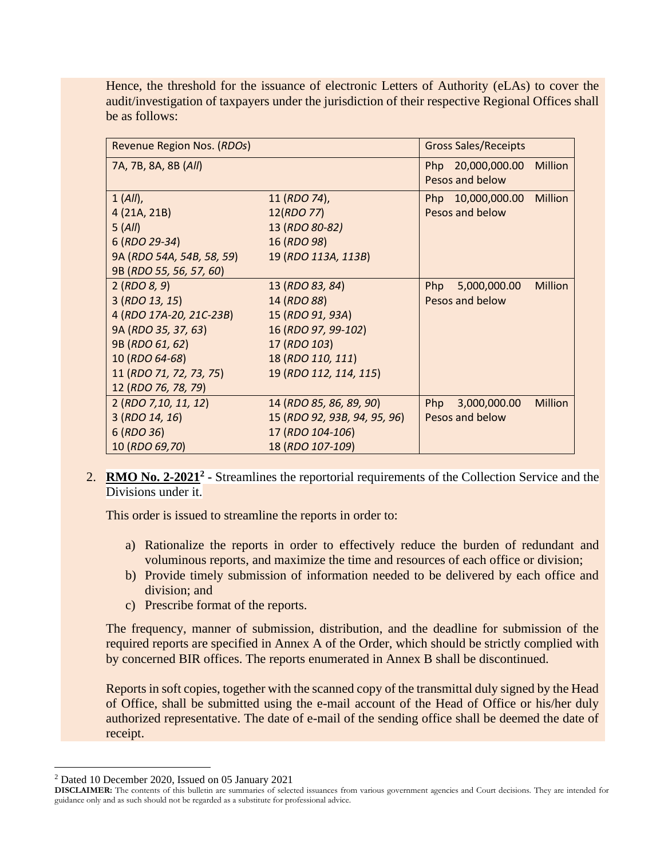Hence, the threshold for the issuance of electronic Letters of Authority (eLAs) to cover the audit/investigation of taxpayers under the jurisdiction of their respective Regional Offices shall be as follows:

| Revenue Region Nos. (RDOs) |                              | <b>Gross Sales/Receipts</b>           |
|----------------------------|------------------------------|---------------------------------------|
| 7A, 7B, 8A, 8B (All)       |                              | Million<br>Php 20,000,000.00          |
|                            |                              | Pesos and below                       |
| 1 (All),                   | 11 (RDO 74),                 | Php 10,000,000.00 Million             |
| 4 (21A, 21B)               | 12(RDO 77)                   | Pesos and below                       |
| 5(All)                     | 13 (RDO 80-82)               |                                       |
| 6 (RDO 29-34)              | 16 (RDO 98)                  |                                       |
| 9A (RDO 54A, 54B, 58, 59)  | 19 (RDO 113A, 113B)          |                                       |
| 9B (RDO 55, 56, 57, 60)    |                              |                                       |
| 2 (RDO 8, 9)               | 13 (RDO 83, 84)              | <b>Million</b><br>Php<br>5,000,000.00 |
| 3 (RDO 13, 15)             | 14 (RDO 88)                  | Pesos and below                       |
| 4 (RDO 17A-20, 21C-23B)    | 15 (RDO 91, 93A)             |                                       |
| 9A (RDO 35, 37, 63)        | 16 (RDO 97, 99-102)          |                                       |
| 9B (RDO 61, 62)            | 17 (RDO 103)                 |                                       |
| 10 (RDO 64-68)             | 18 (RDO 110, 111)            |                                       |
| 11 (RDO 71, 72, 73, 75)    | 19 (RDO 112, 114, 115)       |                                       |
| 12 (RDO 76, 78, 79)        |                              |                                       |
| 2 (RDO 7, 10, 11, 12)      | 14 (RDO 85, 86, 89, 90)      | <b>Million</b><br>Php<br>3,000,000.00 |
| 3 (RDO 14, 16)             | 15 (RDO 92, 93B, 94, 95, 96) | Pesos and below                       |
| 6 (RDO 36)                 | 17 (RDO 104-106)             |                                       |
| 10 (RDO 69,70)             | 18 (RDO 107-109)             |                                       |

2. **RMO No. 2-2021<sup>2</sup>** - Streamlines the reportorial requirements of the Collection Service and the Divisions under it.

This order is issued to streamline the reports in order to:

- a) Rationalize the reports in order to effectively reduce the burden of redundant and voluminous reports, and maximize the time and resources of each office or division;
- b) Provide timely submission of information needed to be delivered by each office and division; and
- c) Prescribe format of the reports.

The frequency, manner of submission, distribution, and the deadline for submission of the required reports are specified in Annex A of the Order, which should be strictly complied with by concerned BIR offices. The reports enumerated in Annex B shall be discontinued.

Reports in soft copies, together with the scanned copy of the transmittal duly signed by the Head of Office, shall be submitted using the e-mail account of the Head of Office or his/her duly authorized representative. The date of e-mail of the sending office shall be deemed the date of receipt.

<sup>2</sup> Dated 10 December 2020, Issued on 05 January 2021

**DISCLAIMER:** The contents of this bulletin are summaries of selected issuances from various government agencies and Court decisions. They are intended for guidance only and as such should not be regarded as a substitute for professional advice.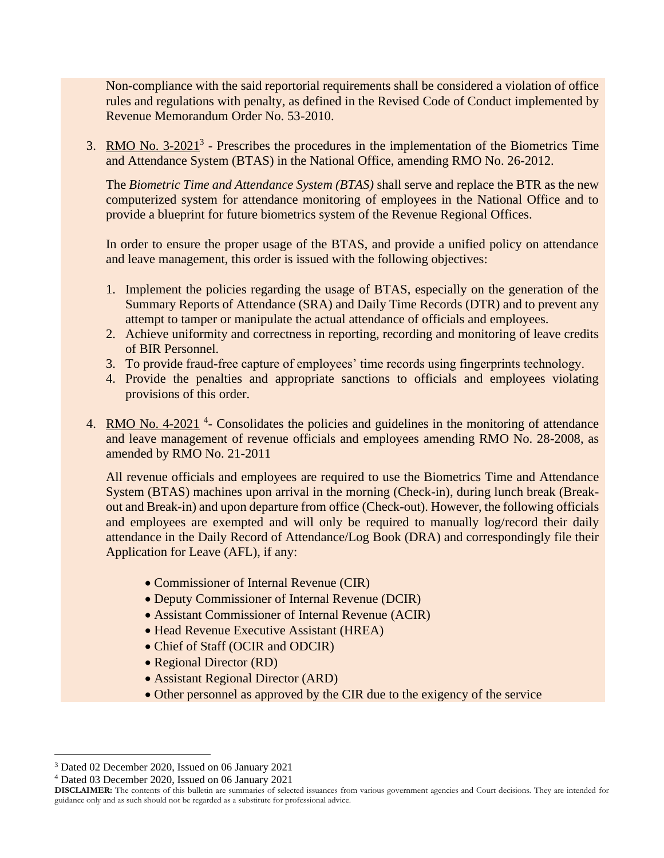Non-compliance with the said reportorial requirements shall be considered a violation of office rules and regulations with penalty, as defined in the Revised Code of Conduct implemented by Revenue Memorandum Order No. 53-2010.

3. RMO No.  $3-2021^3$  - Prescribes the procedures in the implementation of the Biometrics Time and Attendance System (BTAS) in the National Office, amending RMO No. 26-2012.

The *Biometric Time and Attendance System (BTAS)* shall serve and replace the BTR as the new computerized system for attendance monitoring of employees in the National Office and to provide a blueprint for future biometrics system of the Revenue Regional Offices.

In order to ensure the proper usage of the BTAS, and provide a unified policy on attendance and leave management, this order is issued with the following objectives:

- 1. Implement the policies regarding the usage of BTAS, especially on the generation of the Summary Reports of Attendance (SRA) and Daily Time Records (DTR) and to prevent any attempt to tamper or manipulate the actual attendance of officials and employees.
- 2. Achieve uniformity and correctness in reporting, recording and monitoring of leave credits of BIR Personnel.
- 3. To provide fraud-free capture of employees' time records using fingerprints technology.
- 4. Provide the penalties and appropriate sanctions to officials and employees violating provisions of this order.
- 4. RMO No. 4-2021<sup>4</sup> Consolidates the policies and guidelines in the monitoring of attendance and leave management of revenue officials and employees amending RMO No. 28-2008, as amended by RMO No. 21-2011

All revenue officials and employees are required to use the Biometrics Time and Attendance System (BTAS) machines upon arrival in the morning (Check-in), during lunch break (Breakout and Break-in) and upon departure from office (Check-out). However, the following officials and employees are exempted and will only be required to manually log/record their daily attendance in the Daily Record of Attendance/Log Book (DRA) and correspondingly file their Application for Leave (AFL), if any:

- Commissioner of Internal Revenue (CIR)
- Deputy Commissioner of Internal Revenue (DCIR)
- Assistant Commissioner of Internal Revenue (ACIR)
- Head Revenue Executive Assistant (HREA)
- Chief of Staff (OCIR and ODCIR)
- Regional Director (RD)
- Assistant Regional Director (ARD)
- Other personnel as approved by the CIR due to the exigency of the service

<sup>3</sup> Dated 02 December 2020, Issued on 06 January 2021

<sup>4</sup> Dated 03 December 2020, Issued on 06 January 2021

**DISCLAIMER:** The contents of this bulletin are summaries of selected issuances from various government agencies and Court decisions. They are intended for guidance only and as such should not be regarded as a substitute for professional advice.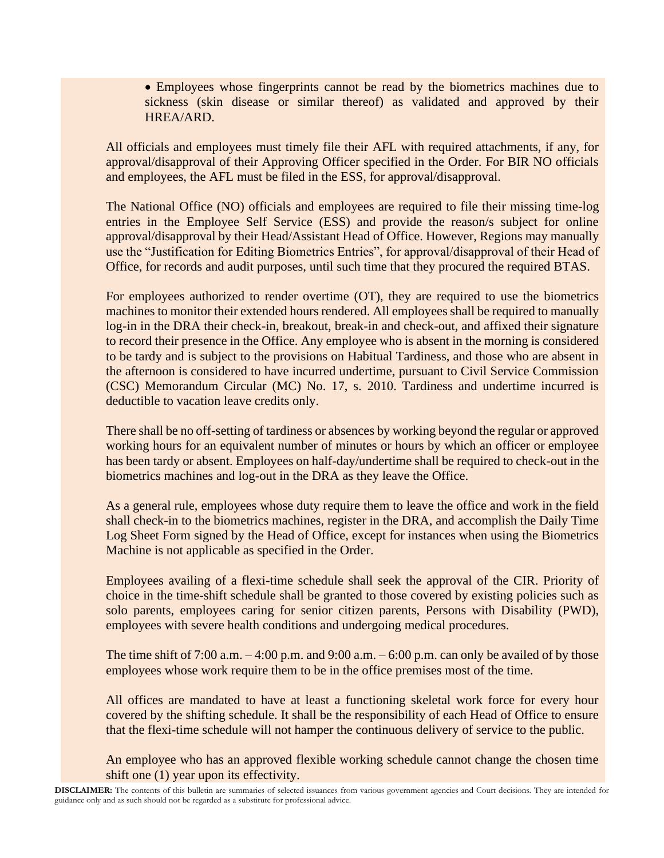• Employees whose fingerprints cannot be read by the biometrics machines due to sickness (skin disease or similar thereof) as validated and approved by their HREA/ARD.

All officials and employees must timely file their AFL with required attachments, if any, for approval/disapproval of their Approving Officer specified in the Order. For BIR NO officials and employees, the AFL must be filed in the ESS, for approval/disapproval.

The National Office (NO) officials and employees are required to file their missing time-log entries in the Employee Self Service (ESS) and provide the reason/s subject for online approval/disapproval by their Head/Assistant Head of Office. However, Regions may manually use the "Justification for Editing Biometrics Entries", for approval/disapproval of their Head of Office, for records and audit purposes, until such time that they procured the required BTAS.

For employees authorized to render overtime (OT), they are required to use the biometrics machines to monitor their extended hours rendered. All employees shall be required to manually log-in in the DRA their check-in, breakout, break-in and check-out, and affixed their signature to record their presence in the Office. Any employee who is absent in the morning is considered to be tardy and is subject to the provisions on Habitual Tardiness, and those who are absent in the afternoon is considered to have incurred undertime, pursuant to Civil Service Commission (CSC) Memorandum Circular (MC) No. 17, s. 2010. Tardiness and undertime incurred is deductible to vacation leave credits only.

There shall be no off-setting of tardiness or absences by working beyond the regular or approved working hours for an equivalent number of minutes or hours by which an officer or employee has been tardy or absent. Employees on half-day/undertime shall be required to check-out in the biometrics machines and log-out in the DRA as they leave the Office.

As a general rule, employees whose duty require them to leave the office and work in the field shall check-in to the biometrics machines, register in the DRA, and accomplish the Daily Time Log Sheet Form signed by the Head of Office, except for instances when using the Biometrics Machine is not applicable as specified in the Order.

Employees availing of a flexi-time schedule shall seek the approval of the CIR. Priority of choice in the time-shift schedule shall be granted to those covered by existing policies such as solo parents, employees caring for senior citizen parents, Persons with Disability (PWD), employees with severe health conditions and undergoing medical procedures.

The time shift of 7:00 a.m.  $-4:00$  p.m. and 9:00 a.m.  $-6:00$  p.m. can only be availed of by those employees whose work require them to be in the office premises most of the time.

All offices are mandated to have at least a functioning skeletal work force for every hour covered by the shifting schedule. It shall be the responsibility of each Head of Office to ensure that the flexi-time schedule will not hamper the continuous delivery of service to the public.

An employee who has an approved flexible working schedule cannot change the chosen time shift one (1) year upon its effectivity.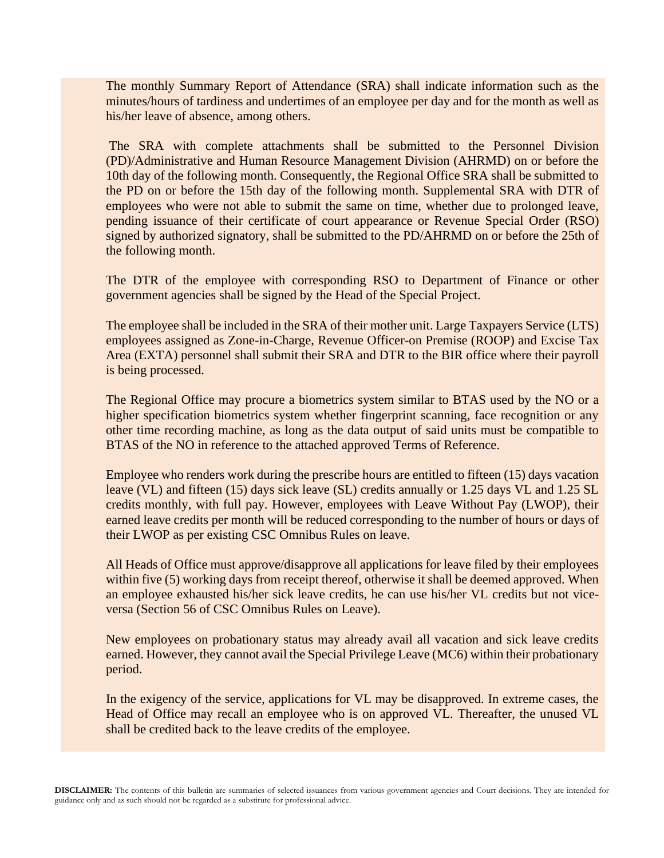The monthly Summary Report of Attendance (SRA) shall indicate information such as the minutes/hours of tardiness and undertimes of an employee per day and for the month as well as his/her leave of absence, among others.

The SRA with complete attachments shall be submitted to the Personnel Division (PD)/Administrative and Human Resource Management Division (AHRMD) on or before the 10th day of the following month. Consequently, the Regional Office SRA shall be submitted to the PD on or before the 15th day of the following month. Supplemental SRA with DTR of employees who were not able to submit the same on time, whether due to prolonged leave, pending issuance of their certificate of court appearance or Revenue Special Order (RSO) signed by authorized signatory, shall be submitted to the PD/AHRMD on or before the 25th of the following month.

The DTR of the employee with corresponding RSO to Department of Finance or other government agencies shall be signed by the Head of the Special Project.

The employee shall be included in the SRA of their mother unit. Large Taxpayers Service (LTS) employees assigned as Zone-in-Charge, Revenue Officer-on Premise (ROOP) and Excise Tax Area (EXTA) personnel shall submit their SRA and DTR to the BIR office where their payroll is being processed.

The Regional Office may procure a biometrics system similar to BTAS used by the NO or a higher specification biometrics system whether fingerprint scanning, face recognition or any other time recording machine, as long as the data output of said units must be compatible to BTAS of the NO in reference to the attached approved Terms of Reference.

Employee who renders work during the prescribe hours are entitled to fifteen (15) days vacation leave (VL) and fifteen (15) days sick leave (SL) credits annually or 1.25 days VL and 1.25 SL credits monthly, with full pay. However, employees with Leave Without Pay (LWOP), their earned leave credits per month will be reduced corresponding to the number of hours or days of their LWOP as per existing CSC Omnibus Rules on leave.

All Heads of Office must approve/disapprove all applications for leave filed by their employees within five (5) working days from receipt thereof, otherwise it shall be deemed approved. When an employee exhausted his/her sick leave credits, he can use his/her VL credits but not viceversa (Section 56 of CSC Omnibus Rules on Leave).

New employees on probationary status may already avail all vacation and sick leave credits earned. However, they cannot avail the Special Privilege Leave (MC6) within their probationary period.

In the exigency of the service, applications for VL may be disapproved. In extreme cases, the Head of Office may recall an employee who is on approved VL. Thereafter, the unused VL shall be credited back to the leave credits of the employee.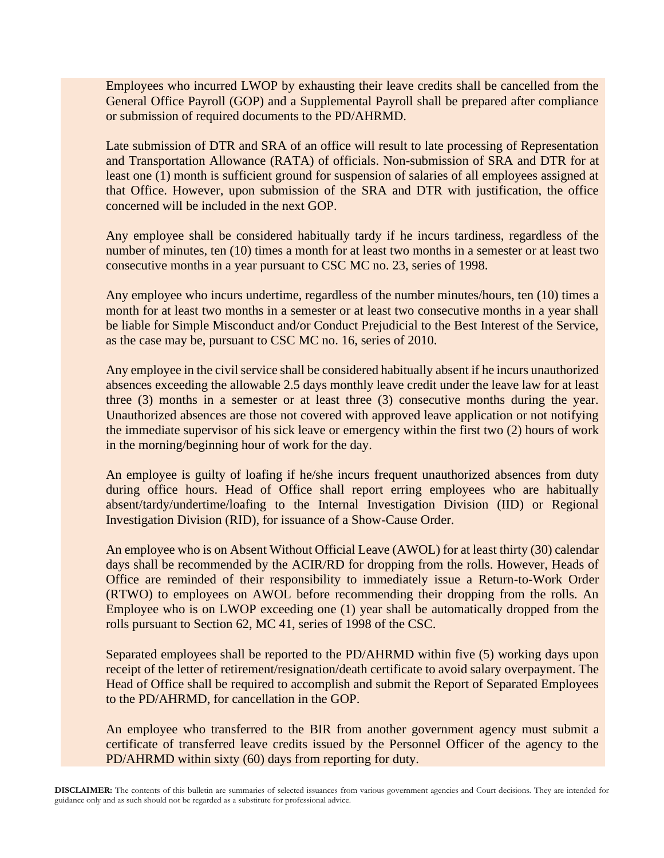Employees who incurred LWOP by exhausting their leave credits shall be cancelled from the General Office Payroll (GOP) and a Supplemental Payroll shall be prepared after compliance or submission of required documents to the PD/AHRMD.

Late submission of DTR and SRA of an office will result to late processing of Representation and Transportation Allowance (RATA) of officials. Non-submission of SRA and DTR for at least one (1) month is sufficient ground for suspension of salaries of all employees assigned at that Office. However, upon submission of the SRA and DTR with justification, the office concerned will be included in the next GOP.

Any employee shall be considered habitually tardy if he incurs tardiness, regardless of the number of minutes, ten (10) times a month for at least two months in a semester or at least two consecutive months in a year pursuant to CSC MC no. 23, series of 1998.

Any employee who incurs undertime, regardless of the number minutes/hours, ten (10) times a month for at least two months in a semester or at least two consecutive months in a year shall be liable for Simple Misconduct and/or Conduct Prejudicial to the Best Interest of the Service, as the case may be, pursuant to CSC MC no. 16, series of 2010.

Any employee in the civil service shall be considered habitually absent if he incurs unauthorized absences exceeding the allowable 2.5 days monthly leave credit under the leave law for at least three (3) months in a semester or at least three (3) consecutive months during the year. Unauthorized absences are those not covered with approved leave application or not notifying the immediate supervisor of his sick leave or emergency within the first two (2) hours of work in the morning/beginning hour of work for the day.

An employee is guilty of loafing if he/she incurs frequent unauthorized absences from duty during office hours. Head of Office shall report erring employees who are habitually absent/tardy/undertime/loafing to the Internal Investigation Division (IID) or Regional Investigation Division (RID), for issuance of a Show-Cause Order.

An employee who is on Absent Without Official Leave (AWOL) for at least thirty (30) calendar days shall be recommended by the ACIR/RD for dropping from the rolls. However, Heads of Office are reminded of their responsibility to immediately issue a Return-to-Work Order (RTWO) to employees on AWOL before recommending their dropping from the rolls. An Employee who is on LWOP exceeding one (1) year shall be automatically dropped from the rolls pursuant to Section 62, MC 41, series of 1998 of the CSC.

Separated employees shall be reported to the PD/AHRMD within five (5) working days upon receipt of the letter of retirement/resignation/death certificate to avoid salary overpayment. The Head of Office shall be required to accomplish and submit the Report of Separated Employees to the PD/AHRMD, for cancellation in the GOP.

An employee who transferred to the BIR from another government agency must submit a certificate of transferred leave credits issued by the Personnel Officer of the agency to the PD/AHRMD within sixty (60) days from reporting for duty.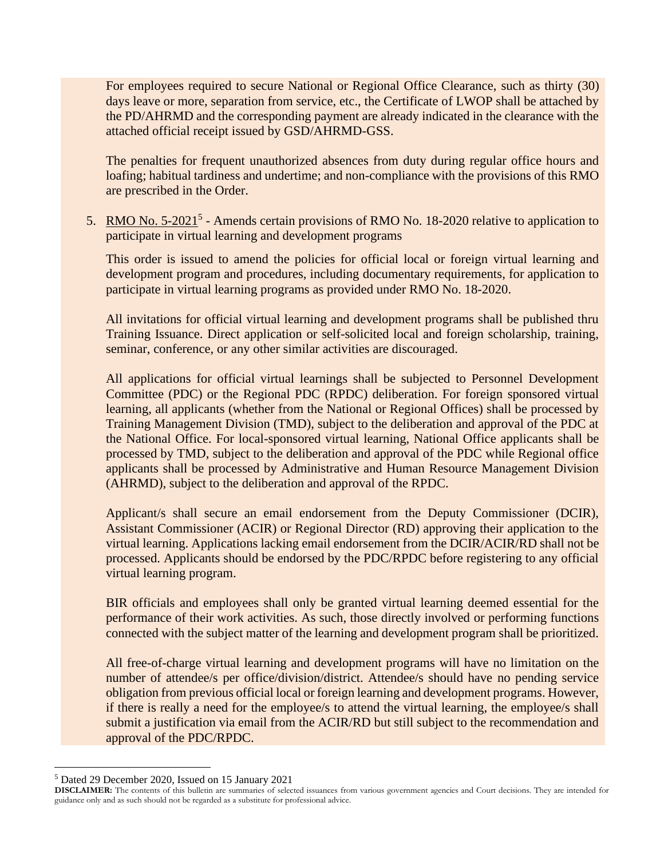For employees required to secure National or Regional Office Clearance, such as thirty (30) days leave or more, separation from service, etc., the Certificate of LWOP shall be attached by the PD/AHRMD and the corresponding payment are already indicated in the clearance with the attached official receipt issued by GSD/AHRMD-GSS.

The penalties for frequent unauthorized absences from duty during regular office hours and loafing; habitual tardiness and undertime; and non-compliance with the provisions of this RMO are prescribed in the Order.

5. RMO No.  $5\text{-}2021^5$  - Amends certain provisions of RMO No. 18-2020 relative to application to participate in virtual learning and development programs

This order is issued to amend the policies for official local or foreign virtual learning and development program and procedures, including documentary requirements, for application to participate in virtual learning programs as provided under RMO No. 18-2020.

All invitations for official virtual learning and development programs shall be published thru Training Issuance. Direct application or self-solicited local and foreign scholarship, training, seminar, conference, or any other similar activities are discouraged.

All applications for official virtual learnings shall be subjected to Personnel Development Committee (PDC) or the Regional PDC (RPDC) deliberation. For foreign sponsored virtual learning, all applicants (whether from the National or Regional Offices) shall be processed by Training Management Division (TMD), subject to the deliberation and approval of the PDC at the National Office. For local-sponsored virtual learning, National Office applicants shall be processed by TMD, subject to the deliberation and approval of the PDC while Regional office applicants shall be processed by Administrative and Human Resource Management Division (AHRMD), subject to the deliberation and approval of the RPDC.

Applicant/s shall secure an email endorsement from the Deputy Commissioner (DCIR), Assistant Commissioner (ACIR) or Regional Director (RD) approving their application to the virtual learning. Applications lacking email endorsement from the DCIR/ACIR/RD shall not be processed. Applicants should be endorsed by the PDC/RPDC before registering to any official virtual learning program.

BIR officials and employees shall only be granted virtual learning deemed essential for the performance of their work activities. As such, those directly involved or performing functions connected with the subject matter of the learning and development program shall be prioritized.

All free-of-charge virtual learning and development programs will have no limitation on the number of attendee/s per office/division/district. Attendee/s should have no pending service obligation from previous official local or foreign learning and development programs. However, if there is really a need for the employee/s to attend the virtual learning, the employee/s shall submit a justification via email from the ACIR/RD but still subject to the recommendation and approval of the PDC/RPDC.

<sup>5</sup> Dated 29 December 2020, Issued on 15 January 2021

**DISCLAIMER:** The contents of this bulletin are summaries of selected issuances from various government agencies and Court decisions. They are intended for guidance only and as such should not be regarded as a substitute for professional advice.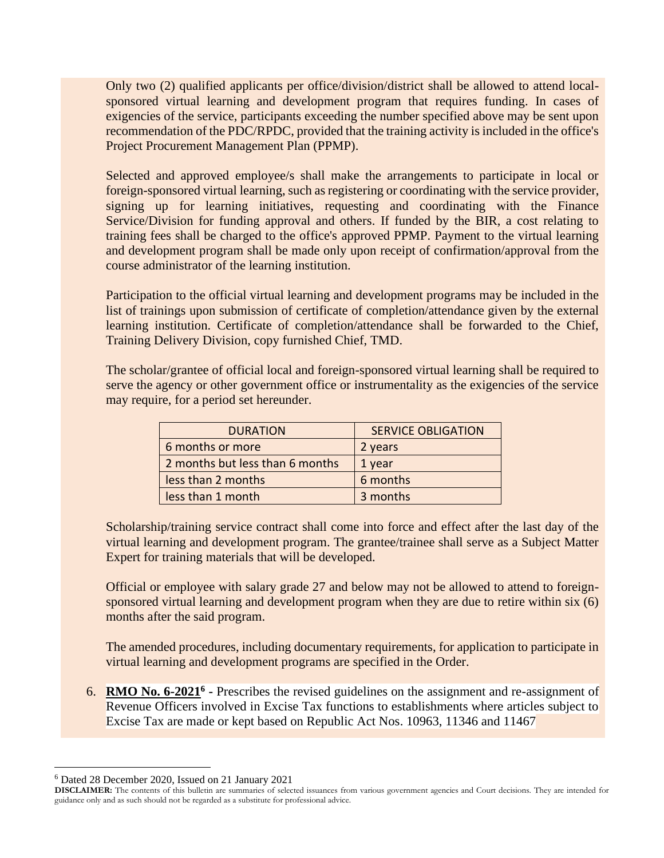Only two (2) qualified applicants per office/division/district shall be allowed to attend localsponsored virtual learning and development program that requires funding. In cases of exigencies of the service, participants exceeding the number specified above may be sent upon recommendation of the PDC/RPDC, provided that the training activity is included in the office's Project Procurement Management Plan (PPMP).

Selected and approved employee/s shall make the arrangements to participate in local or foreign-sponsored virtual learning, such as registering or coordinating with the service provider, signing up for learning initiatives, requesting and coordinating with the Finance Service/Division for funding approval and others. If funded by the BIR, a cost relating to training fees shall be charged to the office's approved PPMP. Payment to the virtual learning and development program shall be made only upon receipt of confirmation/approval from the course administrator of the learning institution.

Participation to the official virtual learning and development programs may be included in the list of trainings upon submission of certificate of completion/attendance given by the external learning institution. Certificate of completion/attendance shall be forwarded to the Chief, Training Delivery Division, copy furnished Chief, TMD.

The scholar/grantee of official local and foreign-sponsored virtual learning shall be required to serve the agency or other government office or instrumentality as the exigencies of the service may require, for a period set hereunder.

| <b>DURATION</b>                 | <b>SERVICE OBLIGATION</b> |
|---------------------------------|---------------------------|
| 6 months or more                | 2 years                   |
| 2 months but less than 6 months | 1 year                    |
| less than 2 months              | 6 months                  |
| less than 1 month               | 3 months                  |

Scholarship/training service contract shall come into force and effect after the last day of the virtual learning and development program. The grantee/trainee shall serve as a Subject Matter Expert for training materials that will be developed.

Official or employee with salary grade 27 and below may not be allowed to attend to foreignsponsored virtual learning and development program when they are due to retire within six (6) months after the said program.

The amended procedures, including documentary requirements, for application to participate in virtual learning and development programs are specified in the Order.

**6.** RMO No. 6-2021<sup>6</sup> - Prescribes the revised guidelines on the assignment and re-assignment of Revenue Officers involved in Excise Tax functions to establishments where articles subject to Excise Tax are made or kept based on Republic Act Nos. 10963, 11346 and 11467

<sup>6</sup> Dated 28 December 2020, Issued on 21 January 2021

**DISCLAIMER:** The contents of this bulletin are summaries of selected issuances from various government agencies and Court decisions. They are intended for guidance only and as such should not be regarded as a substitute for professional advice.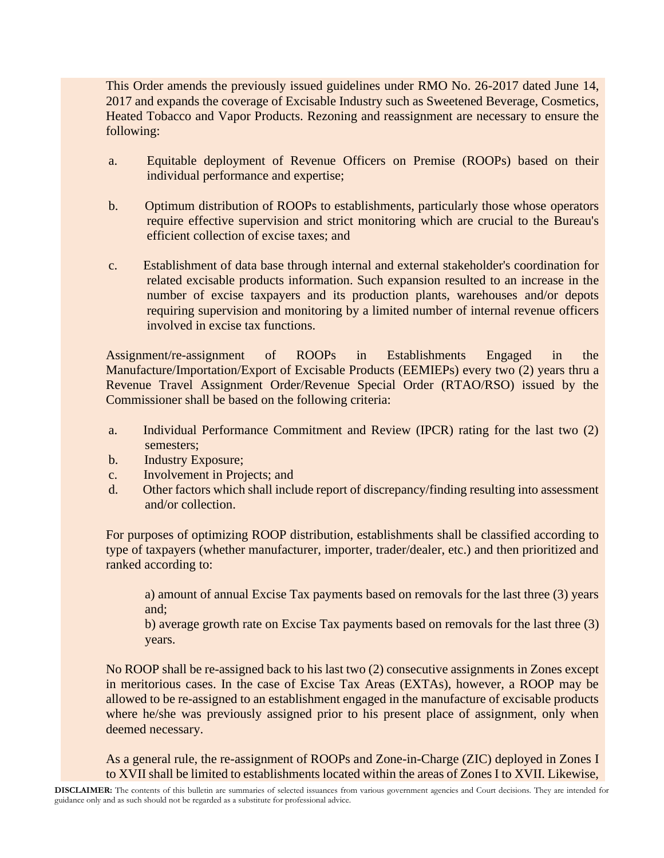This Order amends the previously issued guidelines under RMO No. 26-2017 dated June 14, 2017 and expands the coverage of Excisable Industry such as Sweetened Beverage, Cosmetics, Heated Tobacco and Vapor Products. Rezoning and reassignment are necessary to ensure the following:

- a. Equitable deployment of Revenue Officers on Premise (ROOPs) based on their individual performance and expertise;
- b. Optimum distribution of ROOPs to establishments, particularly those whose operators require effective supervision and strict monitoring which are crucial to the Bureau's efficient collection of excise taxes; and
- c. Establishment of data base through internal and external stakeholder's coordination for related excisable products information. Such expansion resulted to an increase in the number of excise taxpayers and its production plants, warehouses and/or depots requiring supervision and monitoring by a limited number of internal revenue officers involved in excise tax functions.

Assignment/re-assignment of ROOPs in Establishments Engaged in the Manufacture/Importation/Export of Excisable Products (EEMIEPs) every two (2) years thru a Revenue Travel Assignment Order/Revenue Special Order (RTAO/RSO) issued by the Commissioner shall be based on the following criteria:

- a. Individual Performance Commitment and Review (IPCR) rating for the last two (2) semesters;
- b. Industry Exposure;
- c. Involvement in Projects; and
- d. Other factors which shall include report of discrepancy/finding resulting into assessment and/or collection.

For purposes of optimizing ROOP distribution, establishments shall be classified according to type of taxpayers (whether manufacturer, importer, trader/dealer, etc.) and then prioritized and ranked according to:

a) amount of annual Excise Tax payments based on removals for the last three (3) years and;

b) average growth rate on Excise Tax payments based on removals for the last three (3) years.

No ROOP shall be re-assigned back to his last two (2) consecutive assignments in Zones except in meritorious cases. In the case of Excise Tax Areas (EXTAs), however, a ROOP may be allowed to be re-assigned to an establishment engaged in the manufacture of excisable products where he/she was previously assigned prior to his present place of assignment, only when deemed necessary.

As a general rule, the re-assignment of ROOPs and Zone-in-Charge (ZIC) deployed in Zones I to XVII shall be limited to establishments located within the areas of Zones I to XVII. Likewise,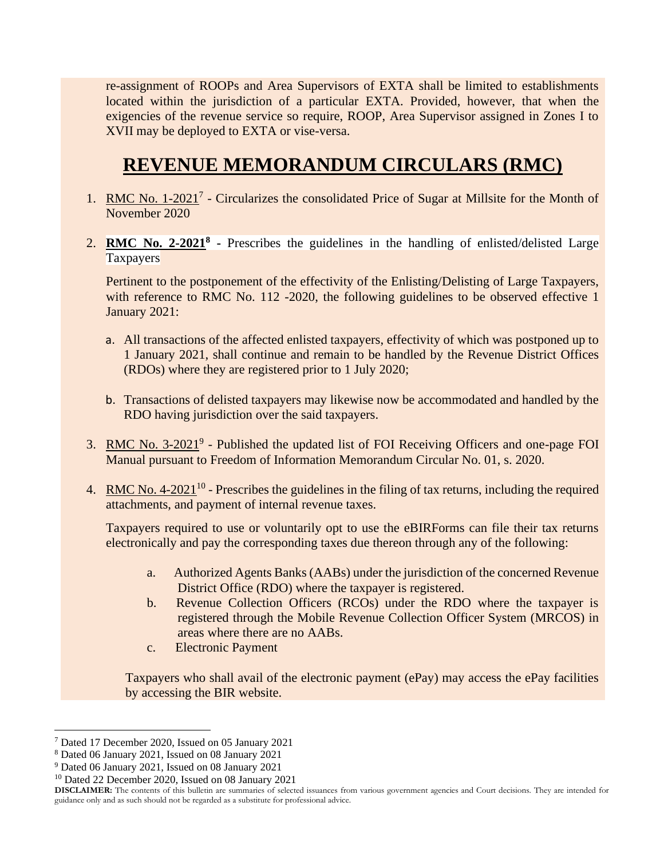re-assignment of ROOPs and Area Supervisors of EXTA shall be limited to establishments located within the jurisdiction of a particular EXTA. Provided, however, that when the exigencies of the revenue service so require, ROOP, Area Supervisor assigned in Zones I to XVII may be deployed to EXTA or vise-versa.

# **REVENUE MEMORANDUM CIRCULARS (RMC)**

- 1. RMC No. 1-2021<sup>7</sup> Circularizes the consolidated Price of Sugar at Millsite for the Month of November 2020
- 2. **RMC No. 2-2021<sup>8</sup>** Prescribes the guidelines in the handling of enlisted/delisted Large **Taxpayers**

Pertinent to the postponement of the effectivity of the Enlisting/Delisting of Large Taxpayers, with reference to RMC No. 112 -2020, the following guidelines to be observed effective 1 January 2021:

- a. All transactions of the affected enlisted taxpayers, effectivity of which was postponed up to 1 January 2021, shall continue and remain to be handled by the Revenue District Offices (RDOs) where they are registered prior to 1 July 2020;
- b. Transactions of delisted taxpayers may likewise now be accommodated and handled by the RDO having jurisdiction over the said taxpayers.
- 3. RMC No. 3-2021<sup>9</sup> Published the updated list of FOI Receiving Officers and one-page FOI Manual pursuant to Freedom of Information Memorandum Circular No. 01, s. 2020.
- 4. RMC No.  $4\text{-}2021^{10}$  Prescribes the guidelines in the filing of tax returns, including the required attachments, and payment of internal revenue taxes.

Taxpayers required to use or voluntarily opt to use the eBIRForms can file their tax returns electronically and pay the corresponding taxes due thereon through any of the following:

- a. Authorized Agents Banks (AABs) under the jurisdiction of the concerned Revenue District Office (RDO) where the taxpayer is registered.
- b. Revenue Collection Officers (RCOs) under the RDO where the taxpayer is registered through the Mobile Revenue Collection Officer System (MRCOS) in areas where there are no AABs.
- c. Electronic Payment

Taxpayers who shall avail of the electronic payment (ePay) may access the ePay facilities by accessing the BIR website.

<sup>7</sup> Dated 17 December 2020, Issued on 05 January 2021

<sup>8</sup> Dated 06 January 2021, Issued on 08 January 2021

<sup>9</sup> Dated 06 January 2021, Issued on 08 January 2021

<sup>10</sup> Dated 22 December 2020, Issued on 08 January 2021

**DISCLAIMER:** The contents of this bulletin are summaries of selected issuances from various government agencies and Court decisions. They are intended for guidance only and as such should not be regarded as a substitute for professional advice.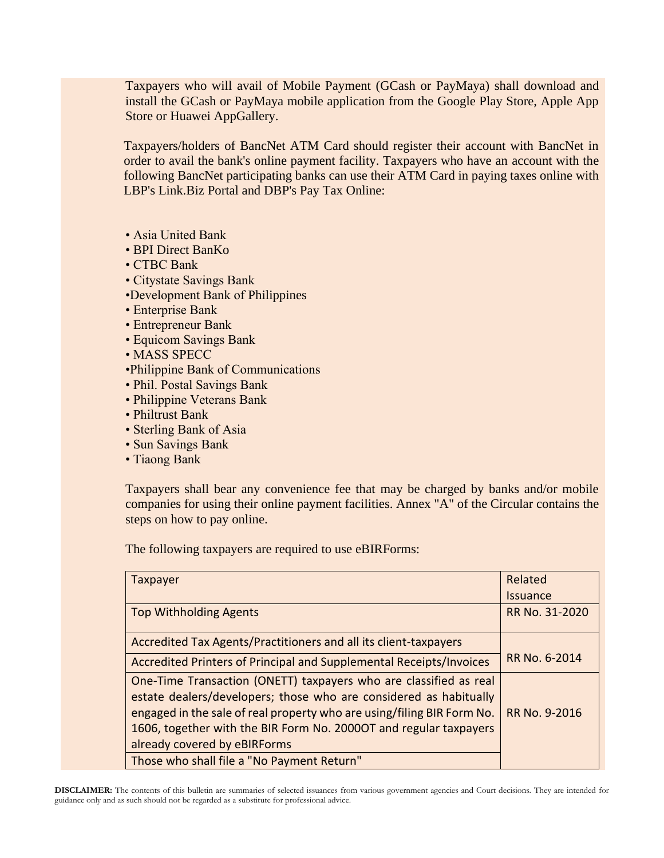Taxpayers who will avail of Mobile Payment (GCash or PayMaya) shall download and install the GCash or PayMaya mobile application from the Google Play Store, Apple App Store or Huawei AppGallery.

Taxpayers/holders of BancNet ATM Card should register their account with BancNet in order to avail the bank's online payment facility. Taxpayers who have an account with the following BancNet participating banks can use their ATM Card in paying taxes online with LBP's Link.Biz Portal and DBP's Pay Tax Online:

- Asia United Bank
- BPI Direct BanKo
- CTBC Bank
- Citystate Savings Bank
- •Development Bank of Philippines
- Enterprise Bank
- Entrepreneur Bank
- Equicom Savings Bank
- MASS SPECC
- •Philippine Bank of Communications
- Phil. Postal Savings Bank
- Philippine Veterans Bank
- Philtrust Bank
- Sterling Bank of Asia
- Sun Savings Bank
- Tiaong Bank

Taxpayers shall bear any convenience fee that may be charged by banks and/or mobile companies for using their online payment facilities. Annex "A" of the Circular contains the steps on how to pay online.

The following taxpayers are required to use eBIRForms:

| Taxpayer                                                                                                                                                                                                                                                                                                              | Related         |
|-----------------------------------------------------------------------------------------------------------------------------------------------------------------------------------------------------------------------------------------------------------------------------------------------------------------------|-----------------|
|                                                                                                                                                                                                                                                                                                                       | <b>Issuance</b> |
| <b>Top Withholding Agents</b>                                                                                                                                                                                                                                                                                         | RR No. 31-2020  |
| Accredited Tax Agents/Practitioners and all its client-taxpayers                                                                                                                                                                                                                                                      |                 |
| Accredited Printers of Principal and Supplemental Receipts/Invoices                                                                                                                                                                                                                                                   | RR No. 6-2014   |
| One-Time Transaction (ONETT) taxpayers who are classified as real<br>estate dealers/developers; those who are considered as habitually<br>engaged in the sale of real property who are using/filing BIR Form No.<br>1606, together with the BIR Form No. 2000OT and regular taxpayers<br>already covered by eBIRForms | RR No. 9-2016   |
| Those who shall file a "No Payment Return"                                                                                                                                                                                                                                                                            |                 |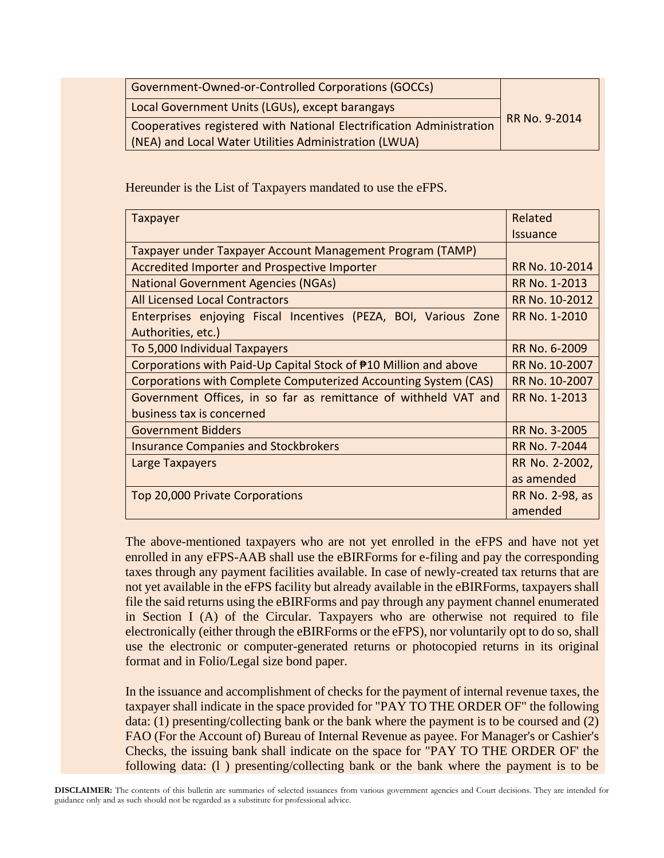| Government-Owned-or-Controlled Corporations (GOCCs)                  | RR No. 9-2014 |
|----------------------------------------------------------------------|---------------|
| Local Government Units (LGUs), except barangays                      |               |
| Cooperatives registered with National Electrification Administration |               |
| (NEA) and Local Water Utilities Administration (LWUA)                |               |

Hereunder is the List of Taxpayers mandated to use the eFPS.

| Taxpayer                                                         | Related         |
|------------------------------------------------------------------|-----------------|
|                                                                  | <b>Issuance</b> |
| Taxpayer under Taxpayer Account Management Program (TAMP)        |                 |
| Accredited Importer and Prospective Importer                     | RR No. 10-2014  |
| <b>National Government Agencies (NGAs)</b>                       | RR No. 1-2013   |
| <b>All Licensed Local Contractors</b>                            | RR No. 10-2012  |
| Enterprises enjoying Fiscal Incentives (PEZA, BOI, Various Zone  | RR No. 1-2010   |
| Authorities, etc.)                                               |                 |
| To 5,000 Individual Taxpayers                                    | RR No. 6-2009   |
| Corporations with Paid-Up Capital Stock of #10 Million and above | RR No. 10-2007  |
| Corporations with Complete Computerized Accounting System (CAS)  | RR No. 10-2007  |
| Government Offices, in so far as remittance of withheld VAT and  | RR No. 1-2013   |
| business tax is concerned                                        |                 |
| <b>Government Bidders</b>                                        | RR No. 3-2005   |
| <b>Insurance Companies and Stockbrokers</b>                      | RR No. 7-2044   |
| Large Taxpayers                                                  | RR No. 2-2002,  |
|                                                                  | as amended      |
| Top 20,000 Private Corporations                                  | RR No. 2-98, as |
|                                                                  | amended         |

The above-mentioned taxpayers who are not yet enrolled in the eFPS and have not yet enrolled in any eFPS-AAB shall use the eBIRForms for e-filing and pay the corresponding taxes through any payment facilities available. In case of newly-created tax returns that are not yet available in the eFPS facility but already available in the eBIRForms, taxpayers shall file the said returns using the eBIRForms and pay through any payment channel enumerated in Section I (A) of the Circular. Taxpayers who are otherwise not required to file electronically (either through the eBIRForms or the eFPS), nor voluntarily opt to do so, shall use the electronic or computer-generated returns or photocopied returns in its original format and in Folio/Legal size bond paper.

In the issuance and accomplishment of checks for the payment of internal revenue taxes, the taxpayer shall indicate in the space provided for "PAY TO THE ORDER OF" the following data: (1) presenting/collecting bank or the bank where the payment is to be coursed and (2) FAO (For the Account of) Bureau of Internal Revenue as payee. For Manager's or Cashier's Checks, the issuing bank shall indicate on the space for "PAY TO THE ORDER OF' the following data: (l ) presenting/collecting bank or the bank where the payment is to be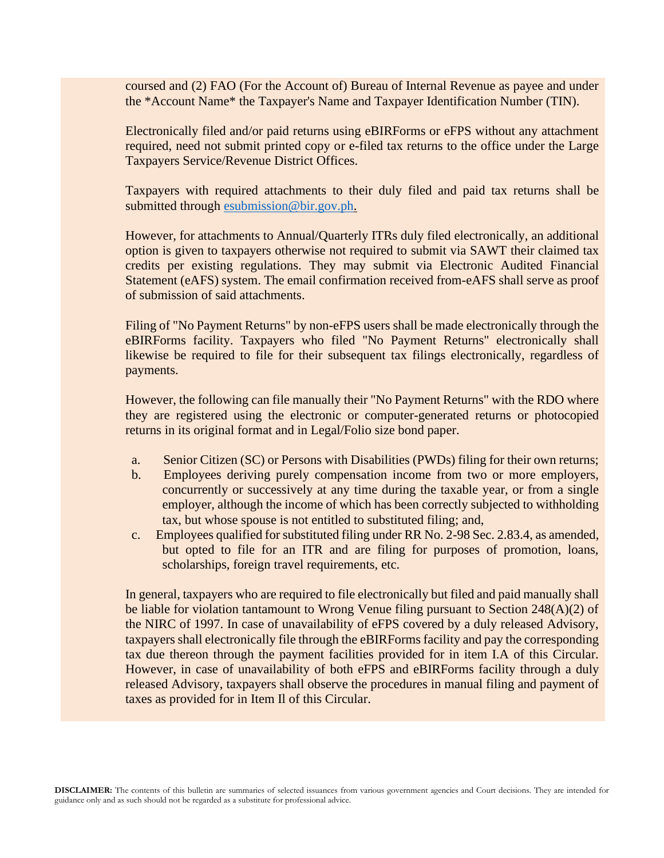coursed and (2) FAO (For the Account of) Bureau of Internal Revenue as payee and under the \*Account Name\* the Taxpayer's Name and Taxpayer Identification Number (TIN).

Electronically filed and/or paid returns using eBIRForms or eFPS without any attachment required, need not submit printed copy or e-filed tax returns to the office under the Large Taxpayers Service/Revenue District Offices.

Taxpayers with required attachments to their duly filed and paid tax returns shall be submitted through [esubmission@bir.gov.ph.](mailto:esubmission@bir.gov.ph)

However, for attachments to Annual/Quarterly ITRs duly filed electronically, an additional option is given to taxpayers otherwise not required to submit via SAWT their claimed tax credits per existing regulations. They may submit via Electronic Audited Financial Statement (eAFS) system. The email confirmation received from-eAFS shall serve as proof of submission of said attachments.

Filing of "No Payment Returns" by non-eFPS users shall be made electronically through the eBIRForms facility. Taxpayers who filed "No Payment Returns" electronically shall likewise be required to file for their subsequent tax filings electronically, regardless of payments.

However, the following can file manually their "No Payment Returns" with the RDO where they are registered using the electronic or computer-generated returns or photocopied returns in its original format and in Legal/Folio size bond paper.

- a. Senior Citizen (SC) or Persons with Disabilities (PWDs) filing for their own returns;
- b. Employees deriving purely compensation income from two or more employers, concurrently or successively at any time during the taxable year, or from a single employer, although the income of which has been correctly subjected to withholding tax, but whose spouse is not entitled to substituted filing; and,
- c. Employees qualified for substituted filing under RR No. 2-98 Sec. 2.83.4, as amended, but opted to file for an ITR and are filing for purposes of promotion, loans, scholarships, foreign travel requirements, etc.

In general, taxpayers who are required to file electronically but filed and paid manually shall be liable for violation tantamount to Wrong Venue filing pursuant to Section 248(A)(2) of the NIRC of 1997. In case of unavailability of eFPS covered by a duly released Advisory, taxpayers shall electronically file through the eBIRForms facility and pay the corresponding tax due thereon through the payment facilities provided for in item I.A of this Circular. However, in case of unavailability of both eFPS and eBIRForms facility through a duly released Advisory, taxpayers shall observe the procedures in manual filing and payment of taxes as provided for in Item Il of this Circular.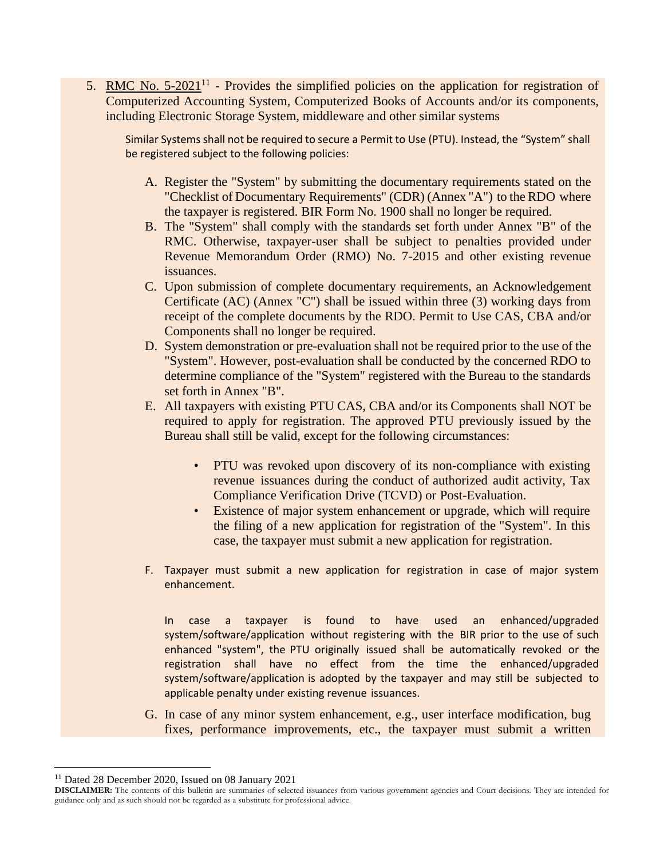5. RMC No.  $5\text{-}2021^{11}$  - Provides the simplified policies on the application for registration of Computerized Accounting System, Computerized Books of Accounts and/or its components, including Electronic Storage System, middleware and other similar systems

Similar Systems shall not be required to secure a Permit to Use (PTU). Instead, the "System" shall be registered subject to the following policies:

- A. Register the "System" by submitting the documentary requirements stated on the "Checklist of Documentary Requirements" (CDR) (Annex "A") to the RDO where the taxpayer is registered. BIR Form No. 1900 shall no longer be required.
- B. The "System" shall comply with the standards set forth under Annex "B" of the RMC. Otherwise, taxpayer-user shall be subject to penalties provided under Revenue Memorandum Order (RMO) No. 7-2015 and other existing revenue issuances.
- C. Upon submission of complete documentary requirements, an Acknowledgement Certificate (AC) (Annex "C") shall be issued within three (3) working days from receipt of the complete documents by the RDO. Permit to Use CAS, CBA and/or Components shall no longer be required.
- D. System demonstration or pre-evaluation shall not be required prior to the use of the "System". However, post-evaluation shall be conducted by the concerned RDO to determine compliance of the "System" registered with the Bureau to the standards set forth in Annex "B".
- E. All taxpayers with existing PTU CAS, CBA and/or its Components shall NOT be required to apply for registration. The approved PTU previously issued by the Bureau shall still be valid, except for the following circumstances:
	- PTU was revoked upon discovery of its non-compliance with existing revenue issuances during the conduct of authorized audit activity, Tax Compliance Verification Drive (TCVD) or Post-Evaluation.
	- Existence of major system enhancement or upgrade, which will require the filing of a new application for registration of the "System". In this case, the taxpayer must submit a new application for registration.
- F. Taxpayer must submit a new application for registration in case of major system enhancement.

In case a taxpayer is found to have used an enhanced/upgraded system/software/application without registering with the BIR prior to the use of such enhanced "system", the PTU originally issued shall be automatically revoked or the registration shall have no effect from the time the enhanced/upgraded system/software/application is adopted by the taxpayer and may still be subjected to applicable penalty under existing revenue issuances.

G. In case of any minor system enhancement, e.g., user interface modification, bug fixes, performance improvements, etc., the taxpayer must submit a written

<sup>11</sup> Dated 28 December 2020, Issued on 08 January 2021

**DISCLAIMER:** The contents of this bulletin are summaries of selected issuances from various government agencies and Court decisions. They are intended for guidance only and as such should not be regarded as a substitute for professional advice.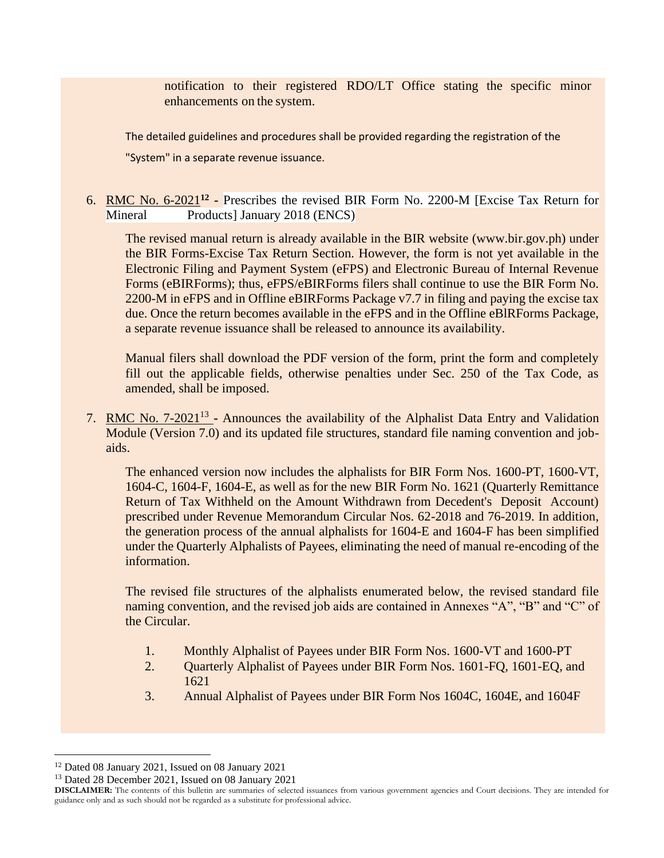notification to their registered RDO/LT Office stating the specific minor enhancements on the system.

The detailed guidelines and procedures shall be provided regarding the registration of the

"System" in a separate revenue issuance.

#### 6. RMC No. 6-2021**<sup>12</sup> -** Prescribes the revised BIR Form No. 2200-M [Excise Tax Return for Mineral Products January 2018 (ENCS)

The revised manual return is already available in the BIR website (www.bir.gov.ph) under the BIR Forms-Excise Tax Return Section. However, the form is not yet available in the Electronic Filing and Payment System (eFPS) and Electronic Bureau of Internal Revenue Forms (eBIRForms); thus, eFPS/eBIRForms filers shall continue to use the BIR Form No. 2200-M in eFPS and in Offline eBIRForms Package v7.7 in filing and paying the excise tax due. Once the return becomes available in the eFPS and in the Offline eBlRForms Package, a separate revenue issuance shall be released to announce its availability.

Manual filers shall download the PDF version of the form, print the form and completely fill out the applicable fields, otherwise penalties under Sec. 250 of the Tax Code, as amended, shall be imposed.

7. RMC No. 7-2021<sup>13</sup> - Announces the availability of the Alphalist Data Entry and Validation Module (Version 7.0) and its updated file structures, standard file naming convention and jobaids.

The enhanced version now includes the alphalists for BIR Form Nos. 1600-PT, 1600-VT, 1604-C, 1604-F, 1604-E, as well as for the new BIR Form No. 1621 (Quarterly Remittance Return of Tax Withheld on the Amount Withdrawn from Decedent's Deposit Account) prescribed under Revenue Memorandum Circular Nos. 62-2018 and 76-2019. In addition, the generation process of the annual alphalists for 1604-E and 1604-F has been simplified under the Quarterly Alphalists of Payees, eliminating the need of manual re-encoding of the information.

The revised file structures of the alphalists enumerated below, the revised standard file naming convention, and the revised job aids are contained in Annexes "A", "B" and "C" of the Circular.

- 1. Monthly Alphalist of Payees under BIR Form Nos. 1600-VT and 1600-PT
- 2. Quarterly Alphalist of Payees under BIR Form Nos. 1601-FQ, 1601-EQ, and 1621
- 3. Annual Alphalist of Payees under BIR Form Nos 1604C, 1604E, and 1604F

<sup>12</sup> Dated 08 January 2021, Issued on 08 January 2021

<sup>13</sup> Dated 28 December 2021, Issued on 08 January 2021

**DISCLAIMER:** The contents of this bulletin are summaries of selected issuances from various government agencies and Court decisions. They are intended for guidance only and as such should not be regarded as a substitute for professional advice.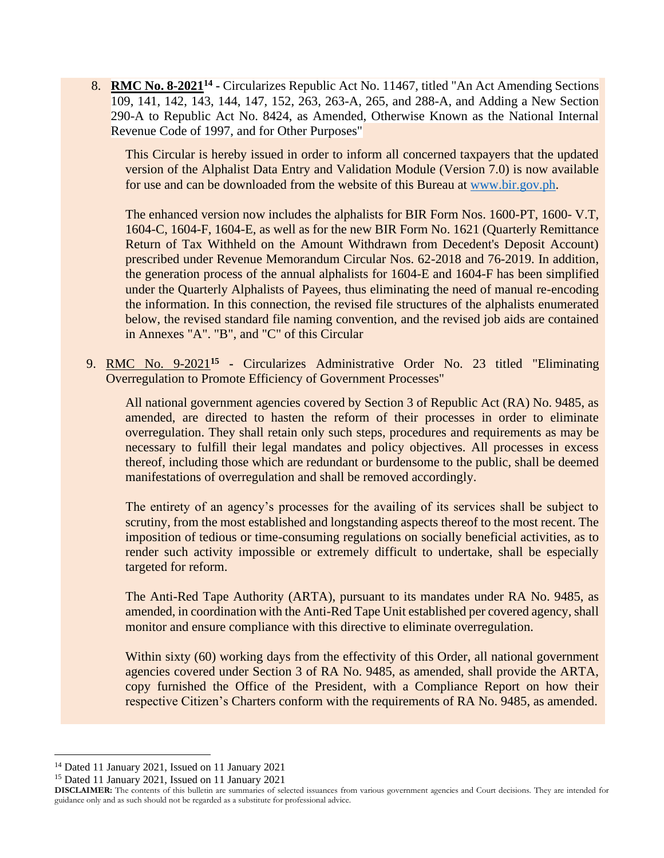8. RMC No. 8-2021<sup>14</sup> - Circularizes Republic Act No. 11467, titled "An Act Amending Sections" 109, 141, 142, 143, 144, 147, 152, 263, 263-A, 265, and 288-A, and Adding a New Section 290-A to Republic Act No. 8424, as Amended, Otherwise Known as the National Internal Revenue Code of 1997, and for Other Purposes"

This Circular is hereby issued in order to inform all concerned taxpayers that the updated version of the Alphalist Data Entry and Validation Module (Version 7.0) is now available for use and can be downloaded from the website of this Bureau at [www.bir.gov.ph.](http://www.bir.gov.ph/)

The enhanced version now includes the alphalists for BIR Form Nos. 1600-PT, 1600- V.T, 1604-C, 1604-F, 1604-E, as well as for the new BIR Form No. 1621 (Quarterly Remittance Return of Tax Withheld on the Amount Withdrawn from Decedent's Deposit Account) prescribed under Revenue Memorandum Circular Nos. 62-2018 and 76-2019. In addition, the generation process of the annual alphalists for 1604-E and 1604-F has been simplified under the Quarterly Alphalists of Payees, thus eliminating the need of manual re-encoding the information. In this connection, the revised file structures of the alphalists enumerated below, the revised standard file naming convention, and the revised job aids are contained in Annexes "A". "B", and "C" of this Circular

9. RMC No. 9-2021**<sup>15</sup> -** Circularizes Administrative Order No. 23 titled "Eliminating Overregulation to Promote Efficiency of Government Processes"

All national government agencies covered by Section 3 of Republic Act (RA) No. 9485, as amended, are directed to hasten the reform of their processes in order to eliminate overregulation. They shall retain only such steps, procedures and requirements as may be necessary to fulfill their legal mandates and policy objectives. All processes in excess thereof, including those which are redundant or burdensome to the public, shall be deemed manifestations of overregulation and shall be removed accordingly.

The entirety of an agency's processes for the availing of its services shall be subject to scrutiny, from the most established and longstanding aspects thereof to the most recent. The imposition of tedious or time-consuming regulations on socially beneficial activities, as to render such activity impossible or extremely difficult to undertake, shall be especially targeted for reform.

The Anti-Red Tape Authority (ARTA), pursuant to its mandates under RA No. 9485, as amended, in coordination with the Anti-Red Tape Unit established per covered agency, shall monitor and ensure compliance with this directive to eliminate overregulation.

Within sixty (60) working days from the effectivity of this Order, all national government agencies covered under Section 3 of RA No. 9485, as amended, shall provide the ARTA, copy furnished the Office of the President, with a Compliance Report on how their respective Citizen's Charters conform with the requirements of RA No. 9485, as amended.

<sup>14</sup> Dated 11 January 2021, Issued on 11 January 2021

<sup>15</sup> Dated 11 January 2021, Issued on 11 January 2021

**DISCLAIMER:** The contents of this bulletin are summaries of selected issuances from various government agencies and Court decisions. They are intended for guidance only and as such should not be regarded as a substitute for professional advice.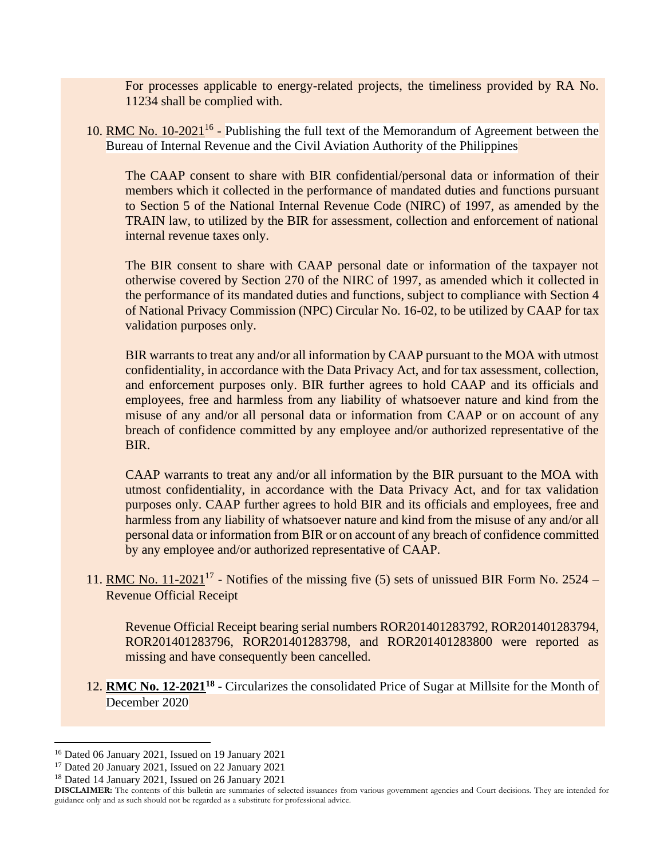For processes applicable to energy-related projects, the timeliness provided by RA No. 11234 shall be complied with.

10. RMC No. 10-2021<sup>16</sup> - Publishing the full text of the Memorandum of Agreement between the Bureau of Internal Revenue and the Civil Aviation Authority of the Philippines

The CAAP consent to share with BIR confidential/personal data or information of their members which it collected in the performance of mandated duties and functions pursuant to Section 5 of the National Internal Revenue Code (NIRC) of 1997, as amended by the TRAIN law, to utilized by the BIR for assessment, collection and enforcement of national internal revenue taxes only.

The BIR consent to share with CAAP personal date or information of the taxpayer not otherwise covered by Section 270 of the NIRC of 1997, as amended which it collected in the performance of its mandated duties and functions, subject to compliance with Section 4 of National Privacy Commission (NPC) Circular No. 16-02, to be utilized by CAAP for tax validation purposes only.

BIR warrants to treat any and/or all information by CAAP pursuant to the MOA with utmost confidentiality, in accordance with the Data Privacy Act, and for tax assessment, collection, and enforcement purposes only. BIR further agrees to hold CAAP and its officials and employees, free and harmless from any liability of whatsoever nature and kind from the misuse of any and/or all personal data or information from CAAP or on account of any breach of confidence committed by any employee and/or authorized representative of the BIR.

CAAP warrants to treat any and/or all information by the BIR pursuant to the MOA with utmost confidentiality, in accordance with the Data Privacy Act, and for tax validation purposes only. CAAP further agrees to hold BIR and its officials and employees, free and harmless from any liability of whatsoever nature and kind from the misuse of any and/or all personal data or information from BIR or on account of any breach of confidence committed by any employee and/or authorized representative of CAAP.

11. RMC No.  $11{\text -}2021^{17}$  - Notifies of the missing five (5) sets of unissued BIR Form No. 2524 – Revenue Official Receipt

Revenue Official Receipt bearing serial numbers ROR201401283792, ROR201401283794, ROR201401283796, ROR201401283798, and ROR201401283800 were reported as missing and have consequently been cancelled.

12. **RMC No. 12-2021<sup>18</sup> -** Circularizes the consolidated Price of Sugar at Millsite for the Month of December 2020

<sup>16</sup> Dated 06 January 2021, Issued on 19 January 2021

<sup>17</sup> Dated 20 January 2021, Issued on 22 January 2021

<sup>18</sup> Dated 14 January 2021, Issued on 26 January 2021

**DISCLAIMER:** The contents of this bulletin are summaries of selected issuances from various government agencies and Court decisions. They are intended for guidance only and as such should not be regarded as a substitute for professional advice.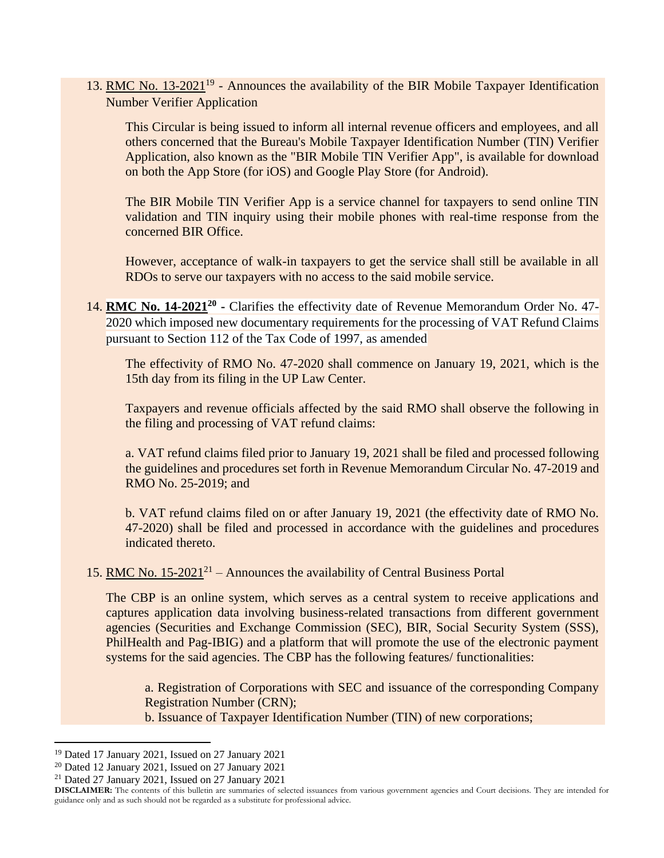13. RMC No. 13-2021<sup>19</sup> - Announces the availability of the BIR Mobile Taxpayer Identification Number Verifier Application

This Circular is being issued to inform all internal revenue officers and employees, and all others concerned that the Bureau's Mobile Taxpayer Identification Number (TIN) Verifier Application, also known as the "BIR Mobile TIN Verifier App", is available for download on both the App Store (for iOS) and Google Play Store (for Android).

The BIR Mobile TIN Verifier App is a service channel for taxpayers to send online TIN validation and TIN inquiry using their mobile phones with real-time response from the concerned BIR Office.

However, acceptance of walk-in taxpayers to get the service shall still be available in all RDOs to serve our taxpayers with no access to the said mobile service.

14. **RMC No. 14-2021**<sup>20</sup> - Clarifies the effectivity date of Revenue Memorandum Order No. 47-2020 which imposed new documentary requirements for the processing of VAT Refund Claims pursuant to Section 112 of the Tax Code of 1997, as amended

The effectivity of RMO No. 47-2020 shall commence on January 19, 2021, which is the 15th day from its filing in the UP Law Center.

Taxpayers and revenue officials affected by the said RMO shall observe the following in the filing and processing of VAT refund claims:

a. VAT refund claims filed prior to January 19, 2021 shall be filed and processed following the guidelines and procedures set forth in Revenue Memorandum Circular No. 47-2019 and RMO No. 25-2019; and

b. VAT refund claims filed on or after January 19, 2021 (the effectivity date of RMO No. 47-2020) shall be filed and processed in accordance with the guidelines and procedures indicated thereto.

15. RMC No.  $15{\text -}2021^{21}$  – Announces the availability of Central Business Portal

The CBP is an online system, which serves as a central system to receive applications and captures application data involving business-related transactions from different government agencies (Securities and Exchange Commission (SEC), BIR, Social Security System (SSS), PhilHealth and Pag-IBIG) and a platform that will promote the use of the electronic payment systems for the said agencies. The CBP has the following features/ functionalities:

a. Registration of Corporations with SEC and issuance of the corresponding Company Registration Number (CRN); b. Issuance of Taxpayer Identification Number (TIN) of new corporations;

<sup>19</sup> Dated 17 January 2021, Issued on 27 January 2021

<sup>20</sup> Dated 12 January 2021, Issued on 27 January 2021

<sup>21</sup> Dated 27 January 2021, Issued on 27 January 2021

**DISCLAIMER:** The contents of this bulletin are summaries of selected issuances from various government agencies and Court decisions. They are intended for guidance only and as such should not be regarded as a substitute for professional advice.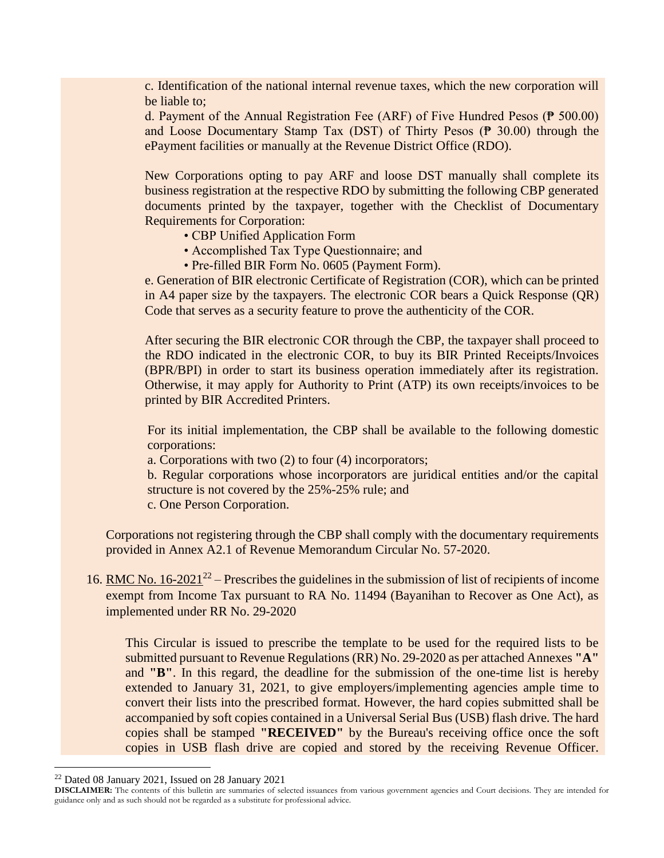c. Identification of the national internal revenue taxes, which the new corporation will be liable to;

d. Payment of the Annual Registration Fee (ARF) of Five Hundred Pesos (₱ 500.00) and Loose Documentary Stamp Tax (DST) of Thirty Pesos ( $\frac{1}{2}$  30.00) through the ePayment facilities or manually at the Revenue District Office (RDO).

New Corporations opting to pay ARF and loose DST manually shall complete its business registration at the respective RDO by submitting the following CBP generated documents printed by the taxpayer, together with the Checklist of Documentary Requirements for Corporation:

- CBP Unified Application Form
- Accomplished Tax Type Questionnaire; and
- Pre-filled BIR Form No. 0605 (Payment Form).

e. Generation of BIR electronic Certificate of Registration (COR), which can be printed in A4 paper size by the taxpayers. The electronic COR bears a Quick Response (QR) Code that serves as a security feature to prove the authenticity of the COR.

After securing the BIR electronic COR through the CBP, the taxpayer shall proceed to the RDO indicated in the electronic COR, to buy its BIR Printed Receipts/Invoices (BPR/BPI) in order to start its business operation immediately after its registration. Otherwise, it may apply for Authority to Print (ATP) its own receipts/invoices to be printed by BIR Accredited Printers.

For its initial implementation, the CBP shall be available to the following domestic corporations:

a. Corporations with two (2) to four (4) incorporators;

b. Regular corporations whose incorporators are juridical entities and/or the capital structure is not covered by the 25%-25% rule; and

c. One Person Corporation.

Corporations not registering through the CBP shall comply with the documentary requirements provided in Annex A2.1 of Revenue Memorandum Circular No. 57-2020.

16. RMC No.  $16-2021^{22}$  – Prescribes the guidelines in the submission of list of recipients of income exempt from Income Tax pursuant to RA No. 11494 (Bayanihan to Recover as One Act), as implemented under RR No. 29-2020

This Circular is issued to prescribe the template to be used for the required lists to be submitted pursuant to Revenue Regulations (RR) No. 29-2020 as per attached Annexes **"A"** and **"B"**. In this regard, the deadline for the submission of the one-time list is hereby extended to January 31, 2021, to give employers/implementing agencies ample time to convert their lists into the prescribed format. However, the hard copies submitted shall be accompanied by soft copies contained in a Universal Serial Bus (USB) flash drive. The hard copies shall be stamped **"RECEIVED"** by the Bureau's receiving office once the soft copies in USB flash drive are copied and stored by the receiving Revenue Officer.

<sup>22</sup> Dated 08 January 2021, Issued on 28 January 2021

**DISCLAIMER:** The contents of this bulletin are summaries of selected issuances from various government agencies and Court decisions. They are intended for guidance only and as such should not be regarded as a substitute for professional advice.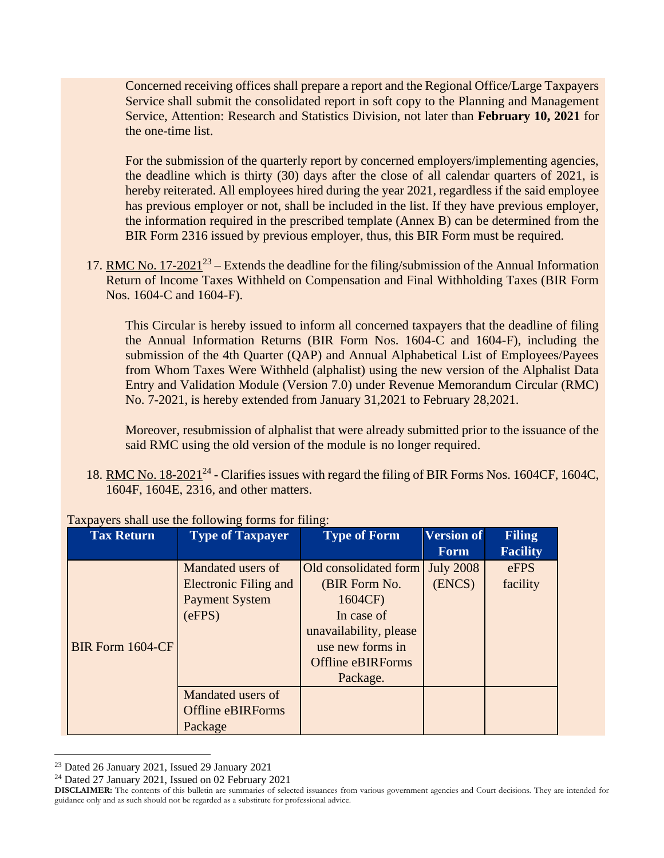Concerned receiving offices shall prepare a report and the Regional Office/Large Taxpayers Service shall submit the consolidated report in soft copy to the Planning and Management Service, Attention: Research and Statistics Division, not later than **February 10, 2021** for the one-time list.

For the submission of the quarterly report by concerned employers/implementing agencies, the deadline which is thirty (30) days after the close of all calendar quarters of 2021, is hereby reiterated. All employees hired during the year 2021, regardless if the said employee has previous employer or not, shall be included in the list. If they have previous employer, the information required in the prescribed template (Annex B) can be determined from the BIR Form 2316 issued by previous employer, thus, this BIR Form must be required.

17. RMC No.  $17-2021^{23}$  – Extends the deadline for the filing/submission of the Annual Information Return of Income Taxes Withheld on Compensation and Final Withholding Taxes (BIR Form Nos. 1604-C and 1604-F).

This Circular is hereby issued to inform all concerned taxpayers that the deadline of filing the Annual Information Returns (BIR Form Nos. 1604-C and 1604-F), including the submission of the 4th Quarter (QAP) and Annual Alphabetical List of Employees/Payees from Whom Taxes Were Withheld (alphalist) using the new version of the Alphalist Data Entry and Validation Module (Version 7.0) under Revenue Memorandum Circular (RMC) No. 7-2021, is hereby extended from January 31,2021 to February 28,2021.

Moreover, resubmission of alphalist that were already submitted prior to the issuance of the said RMC using the old version of the module is no longer required.

18. RMC No. 18-2021<sup>24</sup> - Clarifies issues with regard the filing of BIR Forms Nos. 1604CF, 1604C, 1604F, 1604E, 2316, and other matters.

| <b>Tax Return</b> | <b>Type of Taxpayer</b>                                                              | <b>Type of Form</b>                                                                                                                                   | <b>Version of</b><br><b>Form</b> | <b>Filing</b><br><b>Facility</b> |
|-------------------|--------------------------------------------------------------------------------------|-------------------------------------------------------------------------------------------------------------------------------------------------------|----------------------------------|----------------------------------|
| BIR Form 1604-CF  | Mandated users of<br><b>Electronic Filing and</b><br><b>Payment System</b><br>(eFPS) | Old consolidated form<br>(BIR Form No.<br>1604CF)<br>In case of<br>unavailability, please<br>use new forms in<br><b>Offline eBIRForms</b><br>Package. | <b>July 2008</b><br>(ENCS)       | eFPS<br>facility                 |
|                   | Mandated users of<br><b>Offline eBIRForms</b><br>Package                             |                                                                                                                                                       |                                  |                                  |

#### Taxpayers shall use the following forms for filing:

<sup>23</sup> Dated 26 January 2021, Issued 29 January 2021

<sup>24</sup> Dated 27 January 2021, Issued on 02 February 2021

**DISCLAIMER:** The contents of this bulletin are summaries of selected issuances from various government agencies and Court decisions. They are intended for guidance only and as such should not be regarded as a substitute for professional advice.